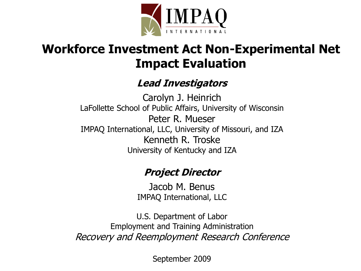

#### **Workforce Investment Act Non-Experimental Net Impact Evaluation**

#### **Lead Investigators**

Carolyn J. Heinrich LaFollette School of Public Affairs, University of Wisconsin Peter R. Mueser IMPAQ International, LLC, University of Missouri, and IZA Kenneth R. Troske University of Kentucky and IZA

#### **Project Director**

Jacob M. Benus IMPAQ International, LLC

U.S. Department of Labor Employment and Training Administration Recovery and Reemployment Research Conference

September 2009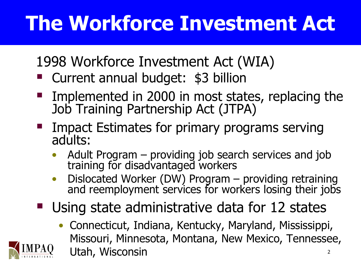# **The Workforce Investment Act**

1998 Workforce Investment Act (WIA)

- Current annual budget: \$3 billion
- Implemented in 2000 in most states, replacing the Job Training Partnership Act (JTPA)
- Impact Estimates for primary programs serving adults:
	- Adult Program providing job search services and job training for disadvantaged workers
	- Dislocated Worker (DW) Program providing retraining and reemployment services for workers losing their jobs
- Using state administrative data for 12 states
	- Connecticut, Indiana, Kentucky, Maryland, Mississippi, Missouri, Minnesota, Montana, New Mexico, Tennessee, Utah, Wisconsin 2

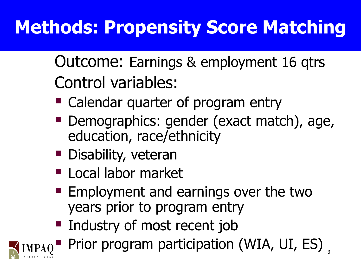## **Methods: Propensity Score Matching**

Outcome: Earnings & employment 16 qtrs Control variables:

- Calendar quarter of program entry
- **Demographics: gender (exact match), age,** education, race/ethnicity
- **Disability, veteran**
- **Local labor market**
- $\blacksquare$  Employment and earnings over the two years prior to program entry
- **Industry of most recent job**



Prior program participation (WIA, UI, ES),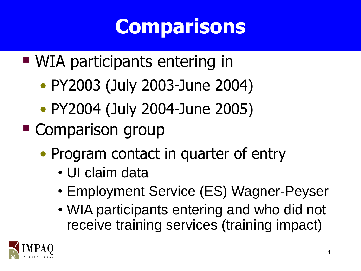## **Comparisons**

- WIA participants entering in
	- PY2003 (July 2003-June 2004)
	- PY2004 (July 2004-June 2005)
- **Comparison group** 
	- Program contact in quarter of entry
		- UI claim data
		- Employment Service (ES) Wagner-Peyser
		- WIA participants entering and who did not receive training services (training impact)

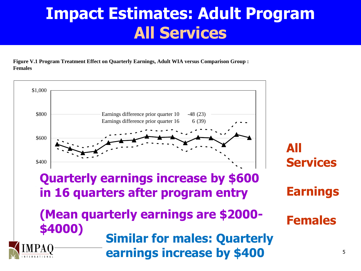### **Impact Estimates: Adult Program All Services**

**Figure V.1 Program Treatment Effect on Quarterly Earnings, Adult WIA versus Comparison Group : Females**

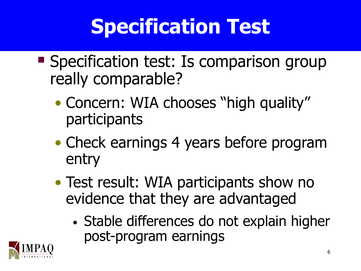# **Specification Test**

- **Specification test: Is comparison group** really comparable?
	- Concern: WIA chooses "high quality" participants
	- Check earnings 4 years before program entry
	- Test result: WIA participants show no evidence that they are advantaged
		- Stable differences do not explain higher post-program earnings

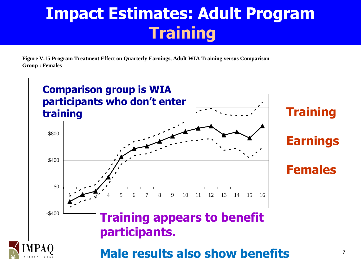### **Impact Estimates: Adult Program Training**

**Figure V.15 Program Treatment Effect on Quarterly Earnings, Adult WIA Training versus Comparison Group : Females**

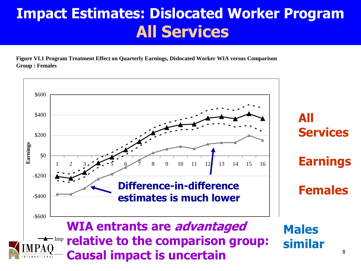#### **Impact Estimates: Dislocated Worker Program All Services**

**Figure VI.1 Program Treatment Effect on Quarterly Earnings, Dislocated Worker WIA versus Comparison Group : Females**

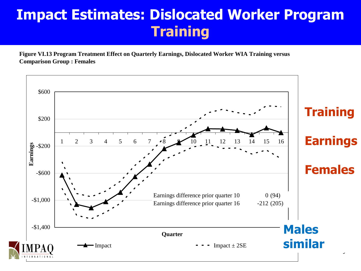#### **Impact Estimates: Dislocated Worker Program Training**

**Figure VI.13 Program Treatment Effect on Quarterly Earnings, Dislocated Worker WIA Training versus Comparison Group : Females**